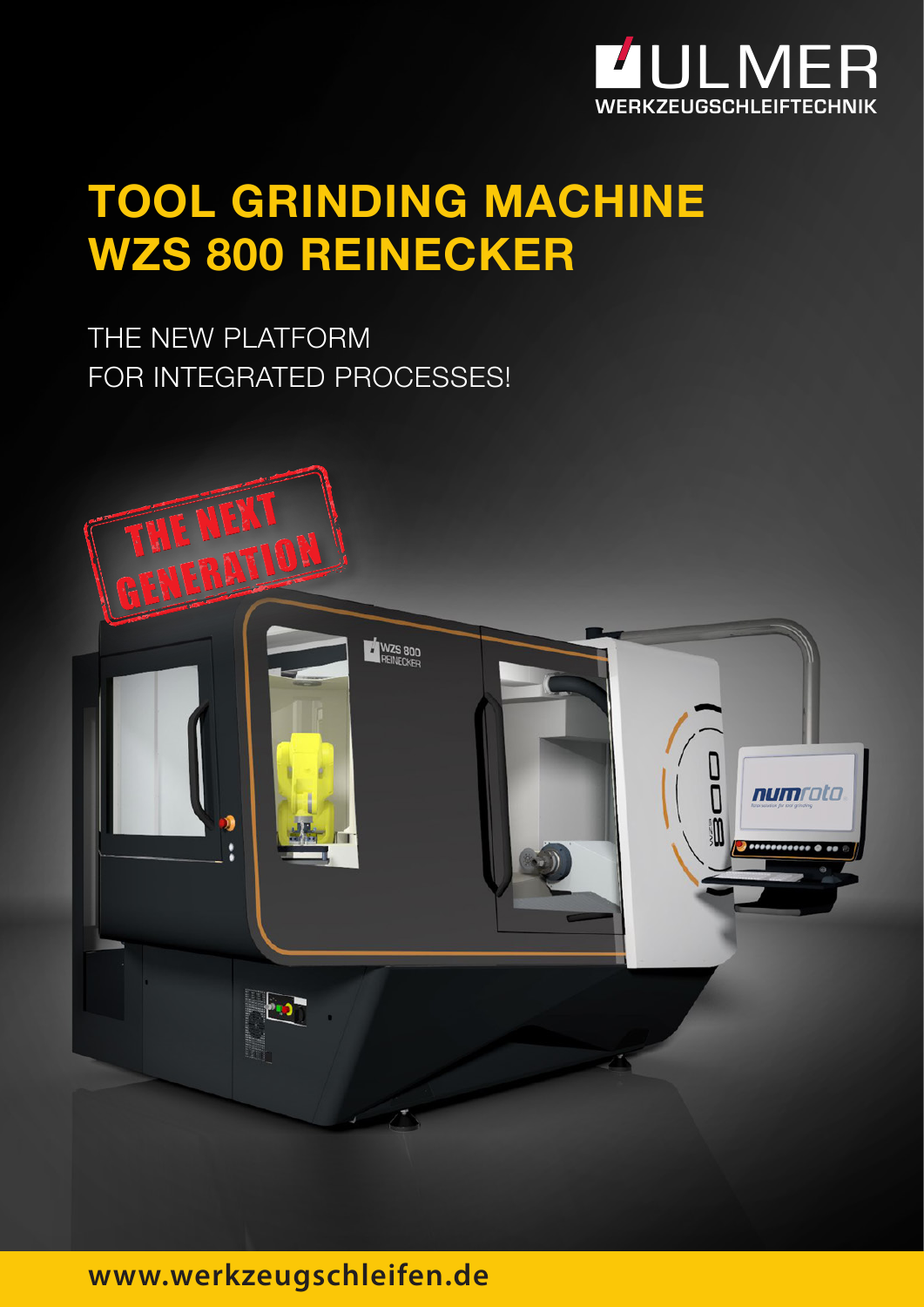

## **TOOL GRINDING MACHINE WZS 800 REINECKER**

THE NEW PLATFORM FOR INTEGRATED PROCESSES!



### **www.werkzeugschleifen.de**